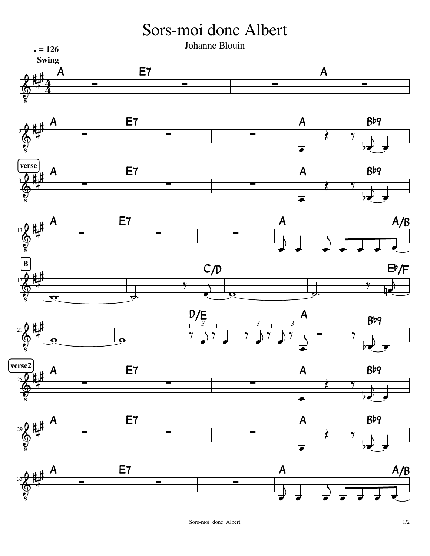